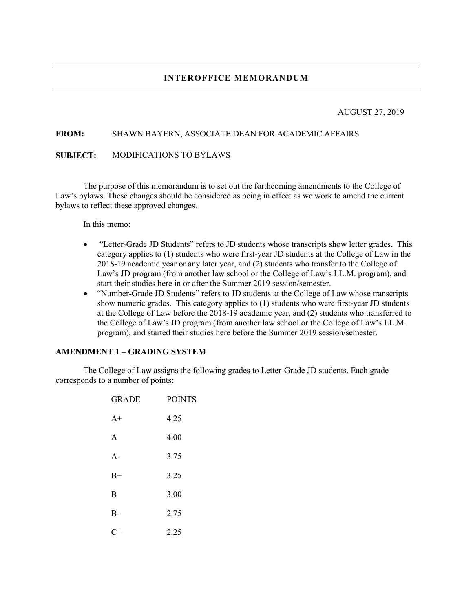# AUGUST 27, 2019

## **FROM:** SHAWN BAYERN, ASSOCIATE DEAN FOR ACADEMIC AFFAIRS

## **SUBJECT:** MODIFICATIONS TO BYLAWS

The purpose of this memorandum is to set out the forthcoming amendments to the College of Law's bylaws. These changes should be considered as being in effect as we work to amend the current bylaws to reflect these approved changes.

In this memo:

- "Letter-Grade JD Students" refers to JD students whose transcripts show letter grades. This category applies to (1) students who were first-year JD students at the College of Law in the 2018-19 academic year or any later year, and (2) students who transfer to the College of Law's JD program (from another law school or the College of Law's LL.M. program), and start their studies here in or after the Summer 2019 session/semester.
- "Number-Grade JD Students" refers to JD students at the College of Law whose transcripts show numeric grades. This category applies to (1) students who were first-year JD students at the College of Law before the 2018-19 academic year, and (2) students who transferred to the College of Law's JD program (from another law school or the College of Law's LL.M. program), and started their studies here before the Summer 2019 session/semester.

## **AMENDMENT 1 – GRADING SYSTEM**

The College of Law assigns the following grades to Letter-Grade JD students. Each grade corresponds to a number of points:

| <b>GRADE</b> | <b>POINTS</b> |
|--------------|---------------|
| $A+$         | 4.25          |
| A            | 4.00          |
| $A -$        | 3.75          |
| $B+$         | 3.25          |
| B            | 3.00          |
| $B -$        | 2.75          |
|              | 2.25          |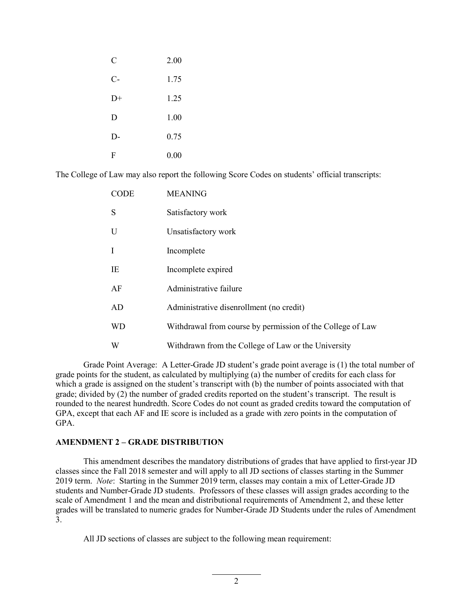| C    | 2.00     |
|------|----------|
| $C-$ | 1.75     |
| $D+$ | 1.25     |
| D    | 1.00     |
| D-   | 0.75     |
| F    | $0.00\,$ |

The College of Law may also report the following Score Codes on students' official transcripts:

| <b>CODE</b> | <b>MEANING</b>                                             |
|-------------|------------------------------------------------------------|
| S           | Satisfactory work                                          |
| U           | Unsatisfactory work                                        |
| I           | Incomplete                                                 |
| IE          | Incomplete expired                                         |
| AF          | Administrative failure                                     |
| AD          | Administrative disenrollment (no credit)                   |
| <b>WD</b>   | Withdrawal from course by permission of the College of Law |
| W           | Withdrawn from the College of Law or the University        |

Grade Point Average: A Letter-Grade JD student's grade point average is (1) the total number of grade points for the student, as calculated by multiplying (a) the number of credits for each class for which a grade is assigned on the student's transcript with (b) the number of points associated with that grade; divided by (2) the number of graded credits reported on the student's transcript. The result is rounded to the nearest hundredth. Score Codes do not count as graded credits toward the computation of GPA, except that each AF and IE score is included as a grade with zero points in the computation of GPA.

## **AMENDMENT 2 – GRADE DISTRIBUTION**

This amendment describes the mandatory distributions of grades that have applied to first-year JD classes since the Fall 2018 semester and will apply to all JD sections of classes starting in the Summer 2019 term. *Note*: Starting in the Summer 2019 term, classes may contain a mix of Letter-Grade JD students and Number-Grade JD students. Professors of these classes will assign grades according to the scale of Amendment 1 and the mean and distributional requirements of Amendment 2, and these letter grades will be translated to numeric grades for Number-Grade JD Students under the rules of Amendment 3.

All JD sections of classes are subject to the following mean requirement: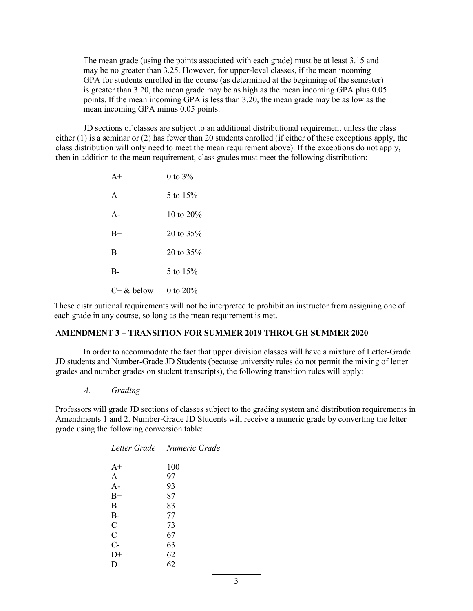The mean grade (using the points associated with each grade) must be at least 3.15 and may be no greater than 3.25. However, for upper-level classes, if the mean incoming GPA for students enrolled in the course (as determined at the beginning of the semester) is greater than 3.20, the mean grade may be as high as the mean incoming GPA plus 0.05 points. If the mean incoming GPA is less than 3.20, the mean grade may be as low as the mean incoming GPA minus 0.05 points.

JD sections of classes are subject to an additional distributional requirement unless the class either (1) is a seminar or (2) has fewer than 20 students enrolled (if either of these exceptions apply, the class distribution will only need to meet the mean requirement above). If the exceptions do not apply, then in addition to the mean requirement, class grades must meet the following distribution:

| $A+$         | 0 to $3%$    |
|--------------|--------------|
| $\mathsf{A}$ | 5 to $15%$   |
| $A -$        | 10 to $20\%$ |
| $B+$         | 20 to $35%$  |
| B            | 20 to $35%$  |
| $B-$         | 5 to $15%$   |
| $C+$ & below | 0 to 20%     |

These distributional requirements will not be interpreted to prohibit an instructor from assigning one of each grade in any course, so long as the mean requirement is met.

# **AMENDMENT 3 – TRANSITION FOR SUMMER 2019 THROUGH SUMMER 2020**

In order to accommodate the fact that upper division classes will have a mixture of Letter-Grade JD students and Number-Grade JD Students (because university rules do not permit the mixing of letter grades and number grades on student transcripts), the following transition rules will apply:

*A. Grading*

Professors will grade JD sections of classes subject to the grading system and distribution requirements in Amendments 1 and 2. Number-Grade JD Students will receive a numeric grade by converting the letter grade using the following conversion table:

|              | Letter Grade Numeric Grade |
|--------------|----------------------------|
| $A+$         | 100                        |
| $\mathsf{A}$ | 97                         |
| $A -$        | 93                         |
| $B+$         | 87                         |
| B            | 83                         |
| $B -$        | 77                         |
| $C+$         | 73                         |
| $\mathsf{C}$ | 67                         |
| $C-$         | 63                         |
| $D+$         | 62                         |
| Ð            | 62                         |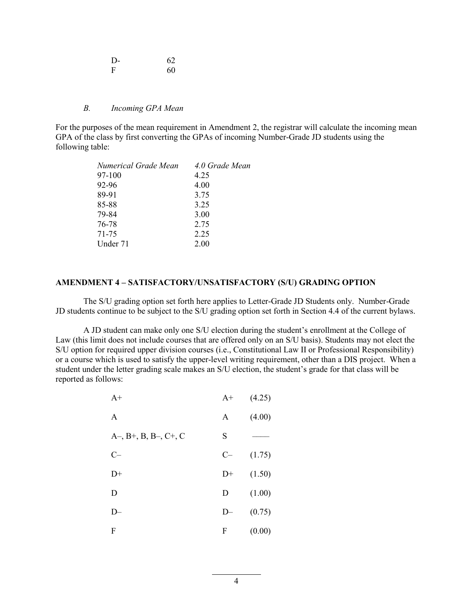| I)- | 62 |
|-----|----|
| F   | 60 |

#### *B. Incoming GPA Mean*

For the purposes of the mean requirement in Amendment 2, the registrar will calculate the incoming mean GPA of the class by first converting the GPAs of incoming Number-Grade JD students using the following table:

| 4.0 Grade Mean |
|----------------|
| 4.25           |
| 4.00           |
| 3.75           |
| 3.25           |
| 3.00           |
| 2.75           |
| 2.25           |
| 2.00           |
|                |

#### **AMENDMENT 4 – SATISFACTORY/UNSATISFACTORY (S/U) GRADING OPTION**

The S/U grading option set forth here applies to Letter-Grade JD Students only. Number-Grade JD students continue to be subject to the S/U grading option set forth in Section 4.4 of the current bylaws.

A JD student can make only one S/U election during the student's enrollment at the College of Law (this limit does not include courses that are offered only on an S/U basis). Students may not elect the S/U option for required upper division courses (i.e., Constitutional Law II or Professional Responsibility) or a course which is used to satisfy the upper-level writing requirement, other than a DIS project. When a student under the letter grading scale makes an S/U election, the student's grade for that class will be reported as follows:

| $A+$                   | $A+$ | (4.25) |
|------------------------|------|--------|
| A                      | A    | (4.00) |
| $A-, B+, B, B-, C+, C$ | S    |        |
| $C-$                   | $C-$ | (1.75) |
| $D+$                   | $D+$ | (1.50) |
| D                      | D    | (1.00) |
| D—                     | $D-$ | (0.75) |
| F                      | F    | (0.00) |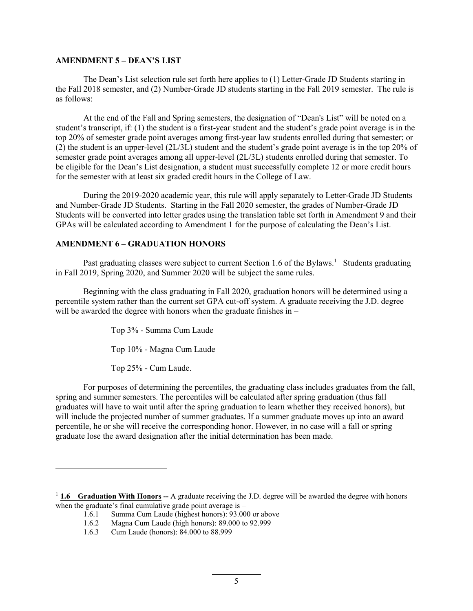#### **AMENDMENT 5 – DEAN'S LIST**

The Dean's List selection rule set forth here applies to (1) Letter-Grade JD Students starting in the Fall 2018 semester, and (2) Number-Grade JD students starting in the Fall 2019 semester. The rule is as follows:

At the end of the Fall and Spring semesters, the designation of "Dean's List" will be noted on a student's transcript, if: (1) the student is a first-year student and the student's grade point average is in the top 20% of semester grade point averages among first-year law students enrolled during that semester; or (2) the student is an upper-level (2L/3L) student and the student's grade point average is in the top 20% of semester grade point averages among all upper-level (2L/3L) students enrolled during that semester. To be eligible for the Dean's List designation, a student must successfully complete 12 or more credit hours for the semester with at least six graded credit hours in the College of Law.

During the 2019-2020 academic year, this rule will apply separately to Letter-Grade JD Students and Number-Grade JD Students. Starting in the Fall 2020 semester, the grades of Number-Grade JD Students will be converted into letter grades using the translation table set forth in Amendment 9 and their GPAs will be calculated according to Amendment 1 for the purpose of calculating the Dean's List.

## **AMENDMENT 6 – GRADUATION HONORS**

Past graduating classes were subject to current Section 1.6 of the Bylaws.<sup>1</sup> Students graduating in Fall 2019, Spring 2020, and Su[m](#page-4-0)mer 2020 will be subject the same rules.

Beginning with the class graduating in Fall 2020, graduation honors will be determined using a percentile system rather than the current set GPA cut-off system. A graduate receiving the J.D. degree will be awarded the degree with honors when the graduate finishes in –

Top 3% - Summa Cum Laude

Top 10% - Magna Cum Laude

Top 25% - Cum Laude.

For purposes of determining the percentiles, the graduating class includes graduates from the fall, spring and summer semesters. The percentiles will be calculated after spring graduation (thus fall graduates will have to wait until after the spring graduation to learn whether they received honors), but will include the projected number of summer graduates. If a summer graduate moves up into an award percentile, he or she will receive the corresponding honor. However, in no case will a fall or spring graduate lose the award designation after the initial determination has been made.

<span id="page-4-0"></span><sup>&</sup>lt;sup>1</sup> **1.6 Graduation With Honors** -- A graduate receiving the J.D. degree will be awarded the degree with honors when the graduate's final cumulative grade point average is  $-$ 

<sup>1.6.1</sup> Summa Cum Laude (highest honors): 93.000 or above<br>1.6.2 Magna Cum Laude (high honors): 89.000 to 92.999

Magna Cum Laude (high honors): 89.000 to 92.999

<sup>1.6.3</sup> Cum Laude (honors): 84.000 to 88.999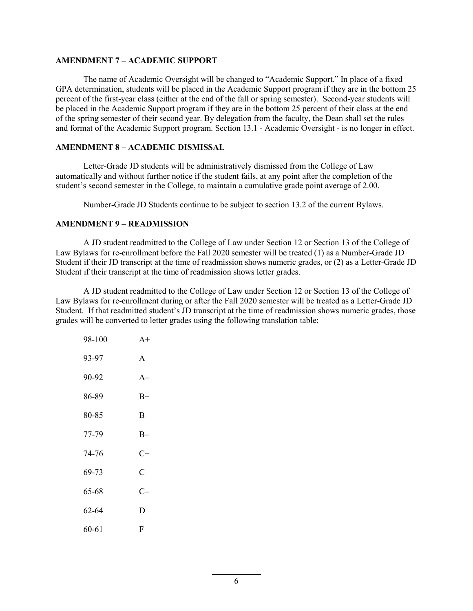#### **AMENDMENT 7 – ACADEMIC SUPPORT**

The name of Academic Oversight will be changed to "Academic Support." In place of a fixed GPA determination, students will be placed in the Academic Support program if they are in the bottom 25 percent of the first-year class (either at the end of the fall or spring semester). Second-year students will be placed in the Academic Support program if they are in the bottom 25 percent of their class at the end of the spring semester of their second year. By delegation from the faculty, the Dean shall set the rules and format of the Academic Support program. Section 13.1 - Academic Oversight - is no longer in effect.

#### **AMENDMENT 8 – ACADEMIC DISMISSAL**

Letter-Grade JD students will be administratively dismissed from the College of Law automatically and without further notice if the student fails, at any point after the completion of the student's second semester in the College, to maintain a cumulative grade point average of 2.00.

Number-Grade JD Students continue to be subject to section 13.2 of the current Bylaws.

#### **AMENDMENT 9 – READMISSION**

A JD student readmitted to the College of Law under Section 12 or Section 13 of the College of Law Bylaws for re-enrollment before the Fall 2020 semester will be treated (1) as a Number-Grade JD Student if their JD transcript at the time of readmission shows numeric grades, or (2) as a Letter-Grade JD Student if their transcript at the time of readmission shows letter grades.

A JD student readmitted to the College of Law under Section 12 or Section 13 of the College of Law Bylaws for re-enrollment during or after the Fall 2020 semester will be treated as a Letter-Grade JD Student. If that readmitted student's JD transcript at the time of readmission shows numeric grades, those grades will be converted to letter grades using the following translation table:

| 98-100    | $A+$ |
|-----------|------|
| 93-97     | A    |
| 90-92     | $A-$ |
| 86-89     | $B+$ |
| 80-85     | B    |
| 77-79     | $B-$ |
| 74-76     | $C+$ |
| 69-73     | C    |
| 65-68     | $C-$ |
| $62 - 64$ | D    |
| 60-61     | F    |